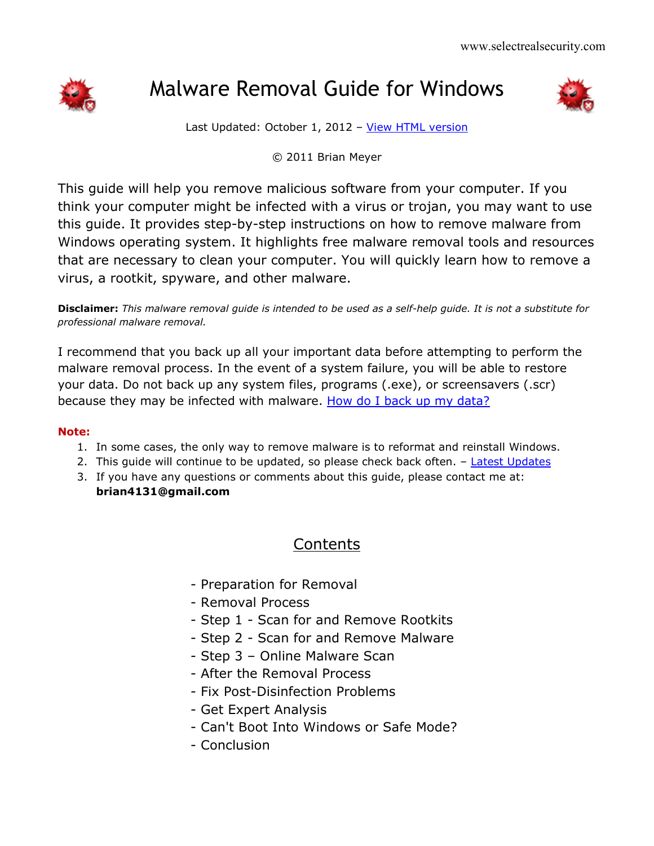

# Malware Removal Guide for Windows



Last Updated: October 1, 2012 - [View HTML version](http://www.selectrealsecurity.com/malware-removal-guide/)

© 2011 Brian Meyer

This guide will help you remove malicious software from your computer. If you think your computer might be infected with a virus or trojan, you may want to use this guide. It provides step-by-step instructions on how to remove malware from Windows operating system. It highlights free malware removal tools and resources that are necessary to clean your computer. You will quickly learn how to remove a virus, a rootkit, spyware, and other malware.

**Disclaimer:** *This malware removal guide is intended to be used as a self-help guide. It is not a substitute for professional malware removal.*

I recommend that you back up all your important data before attempting to perform the malware removal process. In the event of a system failure, you will be able to restore your data. Do not back up any system files, programs (.exe), or screensavers (.scr) because they may be infected with malware. [How do I back up my data?](http://support.microsoft.com/kb/971759)

#### **Note:**

- 1. In some cases, the only way to remove malware is to reformat and reinstall Windows.
- 2. This quide will continue to be updated, so please check back often.  $-$  [Latest Updates](http://selectrealsecurity.blogspot.com/)
- 3. If you have any questions or comments about this guide, please contact me at: **brian4131@gmail.com**

## Contents

- Preparation for Removal
- Removal Process
- Step 1 Scan for and Remove Rootkits
- Step 2 Scan for and Remove Malware
- Step 3 Online Malware Scan
- After the Removal Process
- Fix Post-Disinfection Problems
- Get Expert Analysis
- Can't Boot Into Windows or Safe Mode?
- Conclusion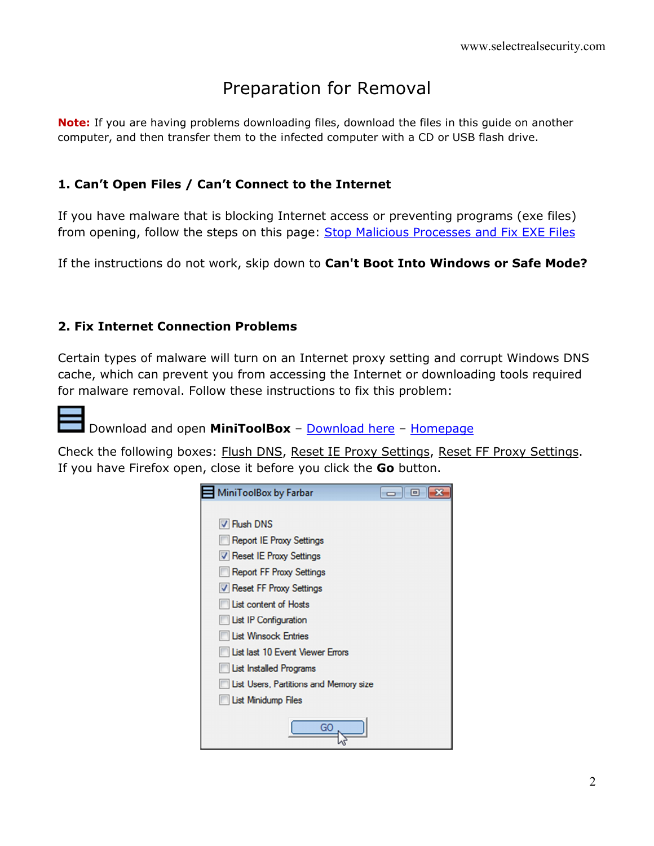# Preparation for Removal

**Note:** If you are having problems downloading files, download the files in this guide on another computer, and then transfer them to the infected computer with a CD or USB flash drive.

#### **1. Can't Open Files / Can't Connect to the Internet**

If you have malware that is blocking Internet access or preventing programs (exe files) from opening, follow the steps on this page: Stop Malicious Processes and Fix EXE Files

If the instructions do not work, skip down to **Can't Boot Into Windows or Safe Mode?**

#### **2. Fix Internet Connection Problems**

Certain types of malware will turn on an Internet proxy setting and corrupt Windows DNS cache, which can prevent you from accessing the Internet or downloading tools required for malware removal. Follow these instructions to fix this problem:



### Download and open **MiniToolBox** – [Download here](http://download.bleepingcomputer.com/farbar/MiniToolBox.exe) – [Homepage](http://www.bleepingcomputer.com/download/minitoolbox/)

Check the following boxes: Flush DNS, Reset IE Proxy Settings, Reset FF Proxy Settings. If you have Firefox open, close it before you click the **Go** button.

| MiniToolBox by Farbar                        | $-$ 0 |
|----------------------------------------------|-------|
|                                              |       |
| V Flush DNS                                  |       |
| <b>Report IE Proxy Settings</b>              |       |
| Reset IE Proxy Settings                      |       |
| Report FF Proxy Settings                     |       |
| V Reset FF Proxy Settings                    |       |
| List content of Hosts                        |       |
| <b>List IP Configuration</b>                 |       |
| <b>Ust Winsock Entries</b>                   |       |
| List last 10 Event Viewer Errors             |       |
| List Installed Programs                      |       |
| <b>Ust Users, Partitions and Memory size</b> |       |
| <b>List Minidump Files</b>                   |       |
| GO                                           |       |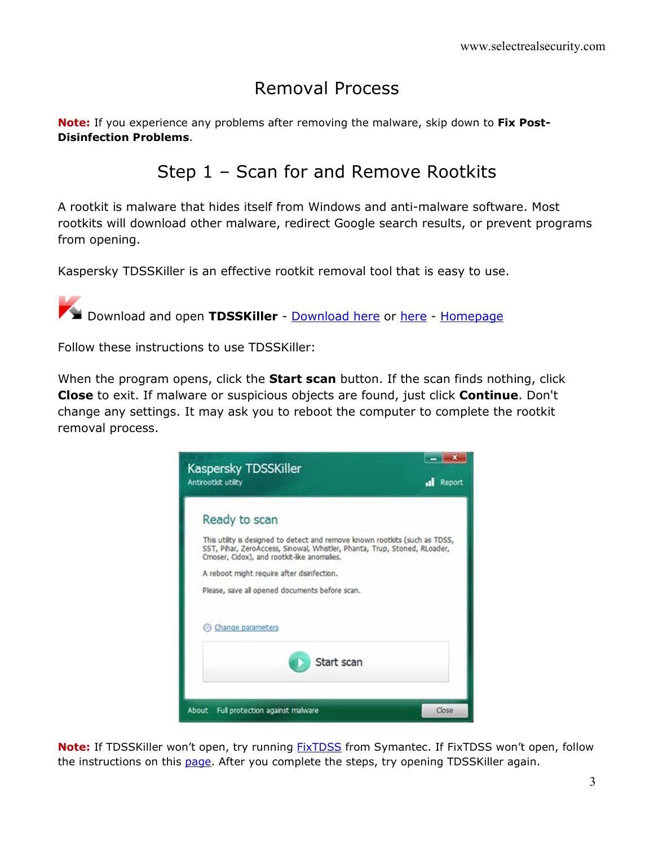# Removal Process

**Note:** If you experience any problems after removing the malware, skip down to **Fix Post-Disinfection Problems**.

## Step 1 – Scan for and Remove Rootkits

A rootkit is malware that hides itself from Windows and anti-malware software. Most rootkits will download other malware, redirect Google search results, or prevent programs from opening.

Kaspersky TDSSKiller is an effective rootkit removal tool that is easy to use.

**Download and open TDSSKiller** - **[Download here](http://support.kaspersky.com/downloads/utils/tdsskiller.exe) or [here](http://www.bleepingcomputer.com/download/tdsskiller/) - Homepage** 

Follow these instructions to use TDSSKiller:

When the program opens, click the **Start scan** button. If the scan finds nothing, click **Close** to exit. If malware or suspicious objects are found, just click **Continue**. Don't change any settings. It may ask you to reboot the computer to complete the rootkit removal process.



**Note:** If TDSSKiller won't open, try running [FixTDSS](http://www.symantec.com/content/en/us/global/removal_tool/threat_writeups/FixTDSS.exe) from Symantec. If FixTDSS won't open, follow the instructions on this [page.](http://www.selectrealsecurity.com/stop-malicious-processes/) After you complete the steps, try opening TDSSKiller again.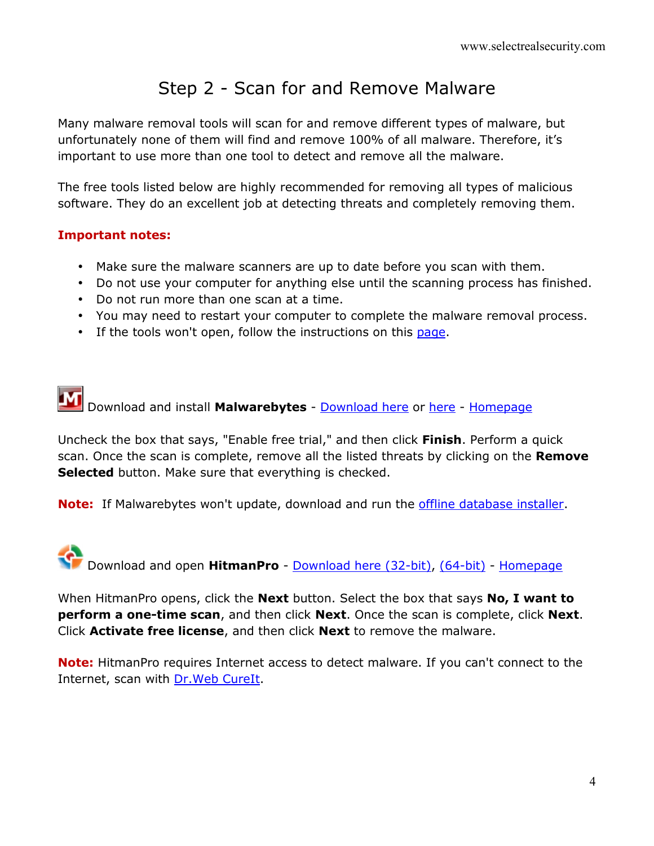# Step 2 - Scan for and Remove Malware

Many malware removal tools will scan for and remove different types of malware, but unfortunately none of them will find and remove 100% of all malware. Therefore, it's important to use more than one tool to detect and remove all the malware.

The free tools listed below are highly recommended for removing all types of malicious software. They do an excellent job at detecting threats and completely removing them.

#### **Important notes:**

- Make sure the malware scanners are up to date before you scan with them.
- Do not use your computer for anything else until the scanning process has finished.
- Do not run more than one scan at a time.
- You may need to restart your computer to complete the malware removal process.
- If the tools won't open, follow the instructions on this [page.](http://www.selectrealsecurity.com/stop-malicious-processes/)

Download and install **Malwarebytes** - [Download here](http://www.malwarebytes.org/mbam-download-exe.php) or [here](http://filehippo.com/download_malwarebytes_anti_malware/) - [Homepage](http://www.malwarebytes.org/products/malwarebytes_free)

Uncheck the box that says, "Enable free trial," and then click **Finish**. Perform a quick scan. Once the scan is complete, remove all the listed threats by clicking on the **Remove Selected** button. Make sure that everything is checked.

**Note:** If Malwarebytes won't update, download and run the *offline database installer*.



When HitmanPro opens, click the **Next** button. Select the box that says **No, I want to perform a one-time scan**, and then click **Next**. Once the scan is complete, click **Next**. Click **Activate free license**, and then click **Next** to remove the malware.

**Note:** HitmanPro requires Internet access to detect malware. If you can't connect to the Internet, scan with **Dr.Web CureIt**.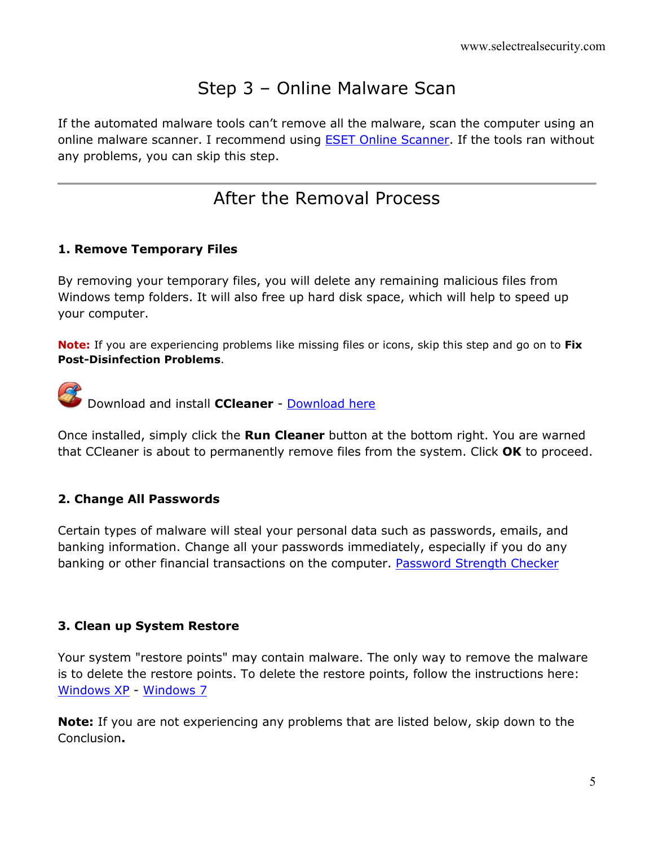# Step 3 – Online Malware Scan

If the automated malware tools can't remove all the malware, scan the computer using an online malware scanner. I recommend using [ESET Online Scanner.](http://www.eset.com/us/online-scanner/) If the tools ran without any problems, you can skip this step.

## After the Removal Process

#### **1. Remove Temporary Files**

By removing your temporary files, you will delete any remaining malicious files from Windows temp folders. It will also free up hard disk space, which will help to speed up your computer.

**Note:** If you are experiencing problems like missing files or icons, skip this step and go on to **Fix Post-Disinfection Problems**.

**Download and install CCleaner** - **[Download here](http://www.filehippo.com/download_ccleaner/)** 

Once installed, simply click the **Run Cleaner** button at the bottom right. You are warned that CCleaner is about to permanently remove files from the system. Click **OK** to proceed.

### **2. Change All Passwords**

Certain types of malware will steal your personal data such as passwords, emails, and banking information. Change all your passwords immediately, especially if you do any banking or other financial transactions on the computer. [Password Strength Checker](https://www.microsoft.com/security/pc-security/password-checker.aspx)

### **3. Clean up System Restore**

Your system "restore points" may contain malware. The only way to remove the malware is to delete the restore points. To delete the restore points, follow the instructions here: [Windows XP](http://support.microsoft.com/kb/555367) - [Windows 7](http://windows.microsoft.com/en-us/windows7/Delete-a-restore-point)

**Note:** If you are not experiencing any problems that are listed below, skip down to the Conclusion**.**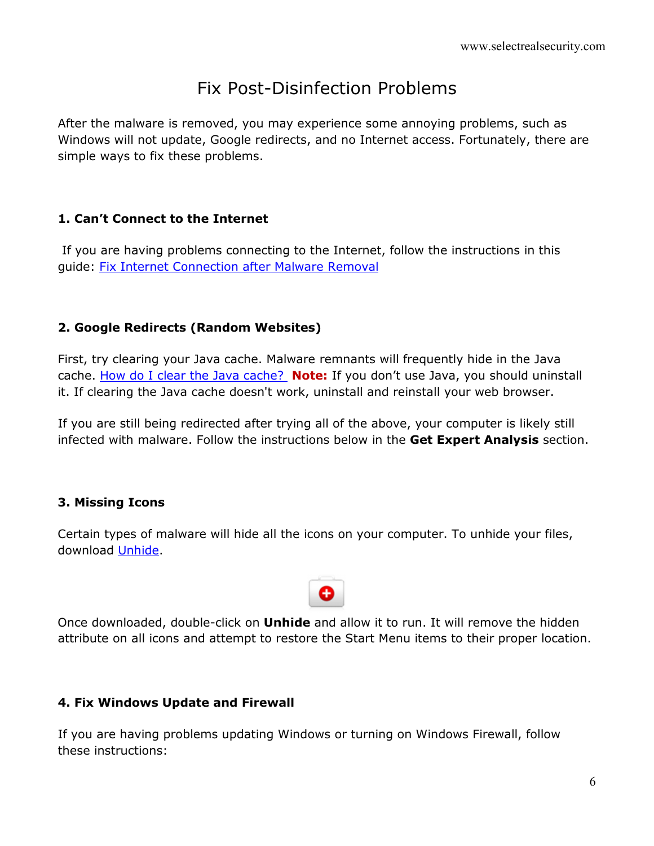## Fix Post-Disinfection Problems

After the malware is removed, you may experience some annoying problems, such as Windows will not update, Google redirects, and no Internet access. Fortunately, there are simple ways to fix these problems.

### **1. Can't Connect to the Internet**

 If you are having problems connecting to the Internet, follow the instructions in this guide: [Fix Internet Connection after Malware Removal](http://www.selectrealsecurity.com/fix-internet-connection/)

### **2. Google Redirects (Random Websites)**

First, try clearing your Java cache. Malware remnants will frequently hide in the Java cache. [How do I clear the Java cache?](http://www.bu.edu/tech/web/course-sites/blackboard-vista/how-to/clear-java-cache/windows/) **Note:** If you don't use Java, you should uninstall it. If clearing the Java cache doesn't work, uninstall and reinstall your web browser.

If you are still being redirected after trying all of the above, your computer is likely still infected with malware. Follow the instructions below in the **Get Expert Analysis** section.

### **3. Missing Icons**

Certain types of malware will hide all the icons on your computer. To unhide your files, download [Unhide.](http://www.bleepingcomputer.com/download/unhide/)



Once downloaded, double-click on **Unhide** and allow it to run. It will remove the hidden attribute on all icons and attempt to restore the Start Menu items to their proper location.

### **4. Fix Windows Update and Firewall**

If you are having problems updating Windows or turning on Windows Firewall, follow these instructions: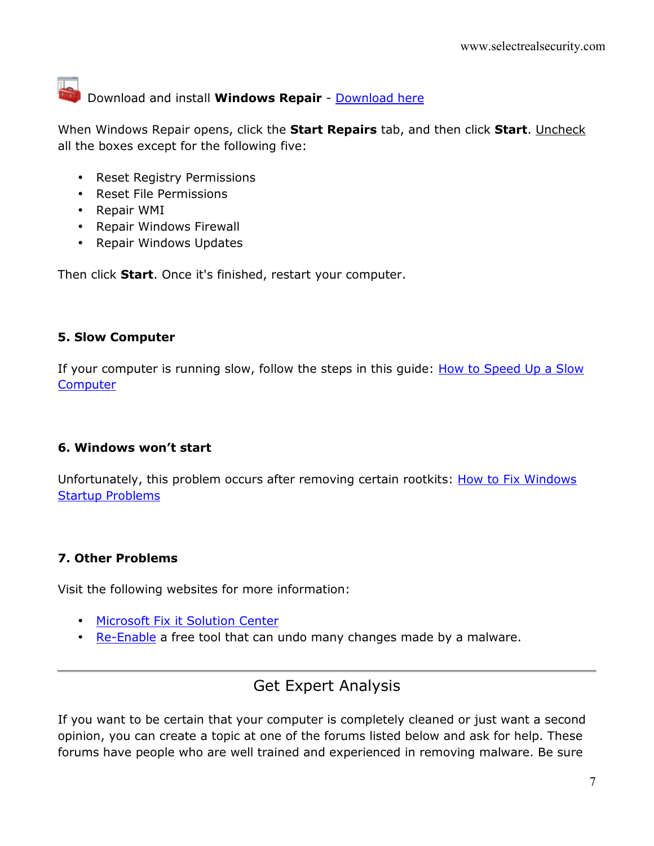## Download and install **Windows Repair** - [Download here](http://majorgeeks.com/Tweaking.com_-_Windows_Repair_d7141.html)

When Windows Repair opens, click the **Start Repairs** tab, and then click **Start**. Uncheck all the boxes except for the following five:

- Reset Registry Permissions
- Reset File Permissions
- Repair WMI
- Repair Windows Firewall
- Repair Windows Updates

Then click **Start**. Once it's finished, restart your computer.

#### **5. Slow Computer**

If your computer is running slow, follow the steps in this guide: How to Speed Up a Slow **[Computer](http://www.selectrealsecurity.com/slow-computer/)** 

#### **6. Windows won't start**

Unfortunately, this problem occurs after removing certain rootkits: How to Fix Windows [Startup Problems](http://www.selectrealsecurity.com/fix-windows-startup/)

#### **7. Other Problems**

Visit the following websites for more information:

- [Microsoft Fix it Solution Center](http://support.microsoft.com/fixit/)
- [Re-Enable](http://www.tangosoft.co.uk/index.html) a free tool that can undo many changes made by a malware.

## Get Expert Analysis

If you want to be certain that your computer is completely cleaned or just want a second opinion, you can create a topic at one of the forums listed below and ask for help. These forums have people who are well trained and experienced in removing malware. Be sure